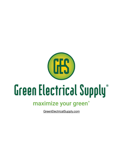

# maximize your green<sup>®</sup>

GreenElectricalSupply.com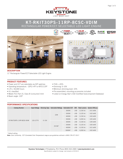

#### **KT-RKIT30PS-11RP-8CSC-VDIM POWER** RECTANGULAR POWER/CCT SELECTABLE LED LIGHT ENGINE **SELECT POWER SELECT**

**POWER**





11" Rectangular Power/CCT-Selectable LED Light Engine

#### **PRODUCT FEATURES**

- Power and CCT are selectable via DIP switches
- Operating temperature: –20ºC/–4ºF to 45ºC/113ºF
- L70 > 50,000 hours
- UL classified
- Meets FCC Part 15, Class B (consumer) limit
- Beam angle: 120º

#### **PERFORMANCE SPECIFICATIONS**

| <b>Catalog Number</b>      | Input Voltage | Dimming Type | Selectable Wattage Selectable CCT |        | <b>CRI</b> |          | <b>Total Lumens</b> System Efficacy |
|----------------------------|---------------|--------------|-----------------------------------|--------|------------|----------|-------------------------------------|
| KT-RKIT30PS-11RP-8CSC-VDIM | 120-277V      | $0 - 10V$    | <b>22W</b>                        | 3000K  | > 80       | 3.100 lm | 141 lm/W                            |
|                            |               |              |                                   | 3500K  | > 80       | 3.125 lm | 142 Im/W                            |
|                            |               |              |                                   | 4000K  | > 80       | 3,150 lm | 143 Im/W                            |
|                            |               |              |                                   | 5000K  | > 80       | 3,200 lm | 145 lm/W                            |
|                            |               |              | $29.5W*$                          | 3000K  | > 80       | 4.100 lm | 139 Im/W                            |
|                            |               |              |                                   | 3500K  | > 80       | 4,125 lm | 140 Im/W                            |
|                            |               |              |                                   | 4000K  | > 80       | 4,150 lm | $141$ $\text{Im/W}$                 |
|                            |               |              |                                   | 5000K* | > 80       | 4.200 lm | 142 Im/W                            |

 $\bullet$  THD:  $<$  20% • Dimming: 0–10V

• Minimum dimming level: 10%

• Pre-assembled; mounting accessories included

• Listed on Energy Star's CSD (Certified Subcomponent Database)

\* Default setting

**Note:** Color Uniformity: CCT (Correlated Color Temperature) range as per guidelines outlined in ANSI C78.377-2017



**RoH SECT**<br>SECTION

**POWER COLOR SELECT SELECT**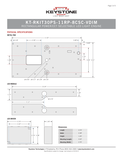

# **KT-RKIT30PS-11RP-8CSC-VDIM** RECTANGULAR POWER/CCT SELECTABLE LED LIGHT ENGINE

### **PHYSICAL SPECIFICATIONS**

**METAL PAN**  $-11.02"$  $\bullet$  0.18"  $\bullet$  2.36"  $0.48"$  $\frac{1}{1}$  -  $\frac{0.20}{1}$  $\circ$  $\Theta$  $\circ$  $\circ$  $\circ$  $\circ$  $\odot$  $\circ$  $\circ$ Ī  $\circ$ 1.10"  $\circ$   $\circ$  $\circ$  $\overline{1}$  - 3.93" 5.51" 1.38"  $\circ$  $\circ$  $\circ$  $\circ$  $\circledcirc$  $\circ$  $\circ$  $\circ$  $\circ$  $\circ$  $\circ$ ø 0.43" ø 0.17" ø 1.34" ø 0.16"





**LED DRIVER**



| <b>Dimensions</b>        |       |
|--------------------------|-------|
| Length                   | 3.74" |
| Width                    | 2.38" |
| Height                   | 1.26" |
| <b>Mounting (Length)</b> | 3.32" |
| <b>Mounting (Width)</b>  | 2.76" |